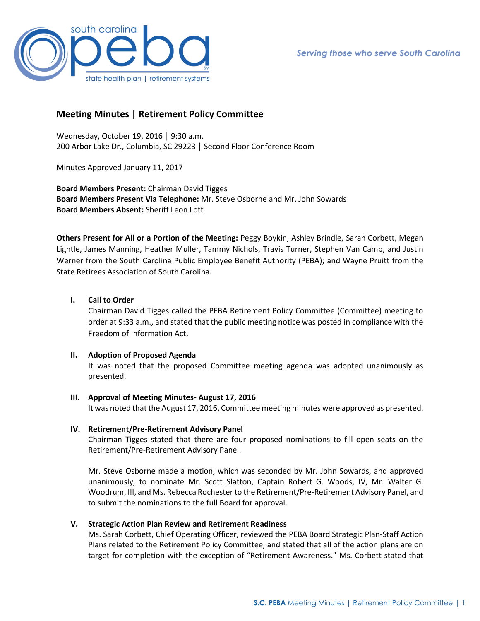

# **Meeting Minutes | Retirement Policy Committee**

Wednesday, October 19, 2016 │ 9:30 a.m. 200 Arbor Lake Dr., Columbia, SC 29223 │ Second Floor Conference Room

Minutes Approved January 11, 2017

**Board Members Present:** Chairman David Tigges **Board Members Present Via Telephone:** Mr. Steve Osborne and Mr. John Sowards **Board Members Absent:** Sheriff Leon Lott

**Others Present for All or a Portion of the Meeting:** Peggy Boykin, Ashley Brindle, Sarah Corbett, Megan Lightle, James Manning, Heather Muller, Tammy Nichols, Travis Turner, Stephen Van Camp, and Justin Werner from the South Carolina Public Employee Benefit Authority (PEBA); and Wayne Pruitt from the State Retirees Association of South Carolina.

## **I. Call to Order**

Chairman David Tigges called the PEBA Retirement Policy Committee (Committee) meeting to order at 9:33 a.m., and stated that the public meeting notice was posted in compliance with the Freedom of Information Act.

#### **II. Adoption of Proposed Agenda**

It was noted that the proposed Committee meeting agenda was adopted unanimously as presented.

**III. Approval of Meeting Minutes- August 17, 2016** It was noted that the August 17, 2016, Committee meeting minutes were approved as presented.

#### **IV. Retirement/Pre-Retirement Advisory Panel**

Chairman Tigges stated that there are four proposed nominations to fill open seats on the Retirement/Pre-Retirement Advisory Panel.

Mr. Steve Osborne made a motion, which was seconded by Mr. John Sowards, and approved unanimously, to nominate Mr. Scott Slatton, Captain Robert G. Woods, IV, Mr. Walter G. Woodrum, III, and Ms. Rebecca Rochester to the Retirement/Pre-Retirement Advisory Panel, and to submit the nominations to the full Board for approval.

## **V. Strategic Action Plan Review and Retirement Readiness**

Ms. Sarah Corbett, Chief Operating Officer, reviewed the PEBA Board Strategic Plan-Staff Action Plans related to the Retirement Policy Committee, and stated that all of the action plans are on target for completion with the exception of "Retirement Awareness." Ms. Corbett stated that